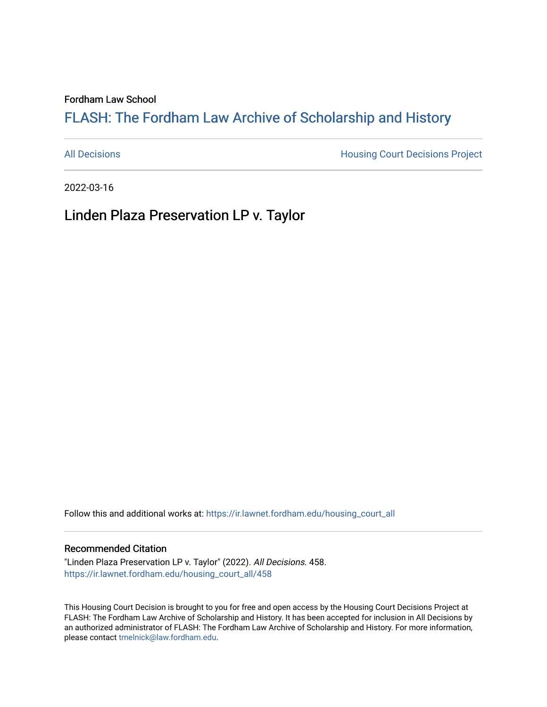#### Fordham Law School

# FLASH: The For[dham Law Archive of Scholarship and Hist](https://ir.lawnet.fordham.edu/)ory

[All Decisions](https://ir.lawnet.fordham.edu/housing_court_all) **All Decisions All Decisions** Project

2022-03-16

Linden Plaza Preservation LP v. Taylor

Follow this and additional works at: [https://ir.lawnet.fordham.edu/housing\\_court\\_all](https://ir.lawnet.fordham.edu/housing_court_all?utm_source=ir.lawnet.fordham.edu%2Fhousing_court_all%2F458&utm_medium=PDF&utm_campaign=PDFCoverPages)

## Recommended Citation

"Linden Plaza Preservation LP v. Taylor" (2022). All Decisions. 458. [https://ir.lawnet.fordham.edu/housing\\_court\\_all/458](https://ir.lawnet.fordham.edu/housing_court_all/458?utm_source=ir.lawnet.fordham.edu%2Fhousing_court_all%2F458&utm_medium=PDF&utm_campaign=PDFCoverPages)

This Housing Court Decision is brought to you for free and open access by the Housing Court Decisions Project at FLASH: The Fordham Law Archive of Scholarship and History. It has been accepted for inclusion in All Decisions by an authorized administrator of FLASH: The Fordham Law Archive of Scholarship and History. For more information, please contact [tmelnick@law.fordham.edu](mailto:tmelnick@law.fordham.edu).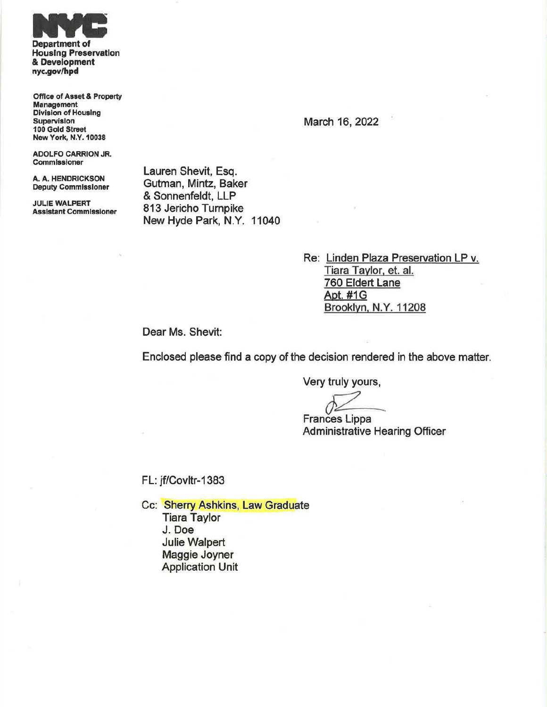

Department of Housing Preservation & Development nyc.gov/hpd

Office of Asset & Property Management Division of Housing Supervision 100 Gold Street New York, N.Y.10038

ADOLFO CARRION JR. Commissioner

A. A. HENDRICKSON Deputy Commissioner

JULIE WALPERT Assistant Commissioner Lauren Shevit, Esq. Gutman, Mintz, Baker & Sonnenfeldt, LLP 813 Jericho Turnpike New Hyde Park, N.Y. 11040

> Re: Linden Plaza Preservation LP v. Tiara Taylor. et. al. 760 Eldert Lane Apt. #1G Brooklyn. N.Y. 11208

Dear Ms. Shevit:

Enclosed please find a copy of the decision rendered in the above matter.

Very truly yours,

Frances Lippa Administrative Hearing Officer

FL: jf/Covltr-1383

Cc: Sherry Ashkins, Law Graduate Tiara Taylor J.Doe Julie Walpert Maggie Joyner Application Unit

March 16, 2022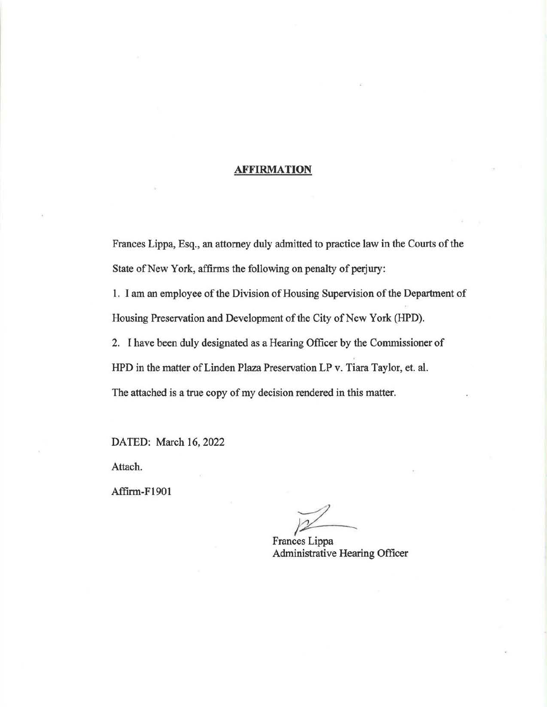### **AFFIRMATION**

Frances Lippa, Esq., an attorney duly admitted to practice law in the Courts of the State of New York, affirms the following on penalty of perjury:

1. I am an employee of the Division of Housing Supervision of the Department of Housing Preservation and Development of the City of New York (HPD).

2. I have been duly designated as a Hearing Officer by the Commissioner of

HPD in the matter of Linden Plaza Preservation LP v. Tiara Taylor, et. al.

The attached is a true copy of my decision rendered in this matter.

DATED: March 16, 2022

Attach.

Affirm-F1901

Frances Lippa

Administrative Hearing Officer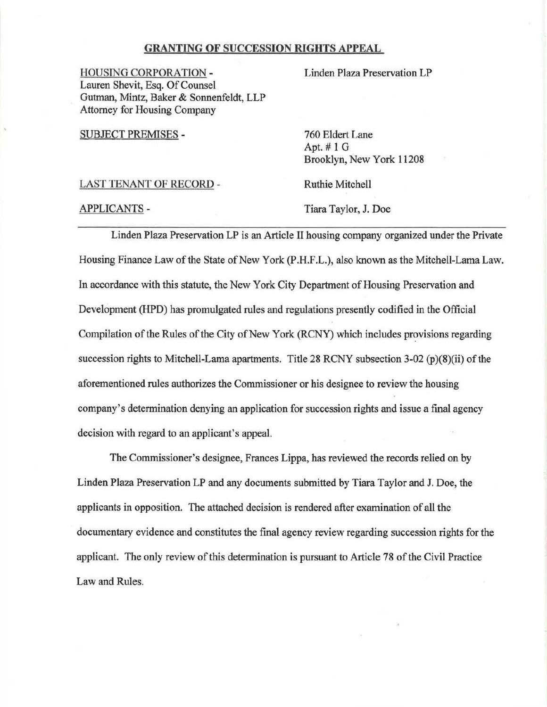### GRANTING OF SUCCESSION RIGHTS APPEAL

HOUSING CORPORATION - Lauren Shevit, Esq. Of Counsel Gutman, Mintz, Baker & Sonnenfeldt, LLP Attorney for Housing Company

SUBJECT PREMISES -

760 Eldert Lane Apt.# 1 G Brooklyn, New York 11208

Linden Plaza Preservation LP

LAST TENANT OF RECORD -

Ruthie Mitchell

APPLICANTS -

Tiara Taylor, J. Doe

Linden Plaza Preservation LP is an Article II housing company organized under the Private Housing Finance Law of the State of New York (P.H.F.L.), also known as the Mitchell-Lama Law. In accordance with this statute, the New York City Department of Housing Preservation and Development (HPD) has promulgated rules and regulations presently codified in the Official Compilation of the Rules of the City of New York (RCNY) which includes provisions regarding succession rights to Mitchell-Lama apartments. Title 28 RCNY subsection 3-02 (p)(8)(ii) of the aforementioned rules authorizes the Commissioner or his designee to review the housing company's determination denying an application for succession rights and issue a final agency decision with regard to an applicant's appeal.

The Commissioner's designee, Frances Lippa, has reviewed the records relied on by Linden Plaza Preservation LP and any documents submitted by Tiara Taylor and J. Doe, the applicants in opposition. The attached decision is rendered after examination of all the documentary evidence and constitutes the final agency review regarding succession rights for the applicant. The only review of this determination is pursuant to Article 78 of the Civil Practice Law and Rules.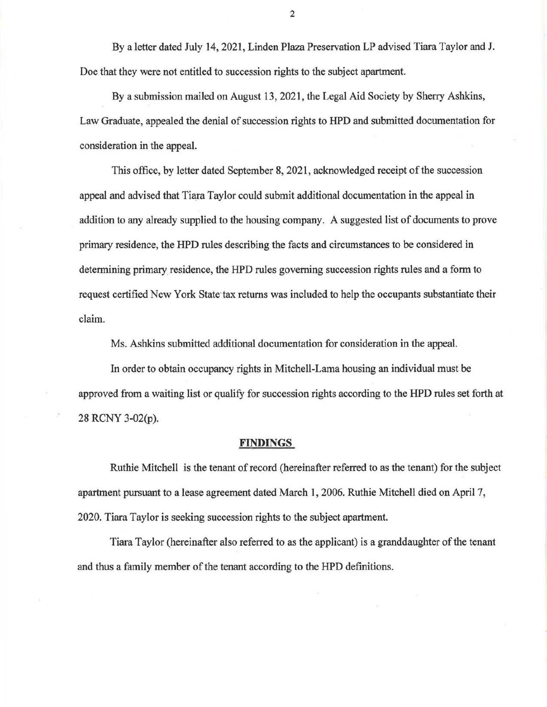By a letter dated July 14, 2021, Linden Plaza Preservation LP advised Tiara Taylor and J. Doe that they were not entitled to succession rights to the subject apartment.

By a submission mailed on August 13, 2021, the Legal Aid Society by Sherry Ashkins, Law Graduate, appealed the denial of succession rights to HPD and submitted documentation for consideration in the appeal.

This office, by letter dated September 8, 2021, acknowledged receipt of the succession appeal and advised that Tiara Taylor could submit additional documentation in the appeal in addition to any already supplied to the housing company. A suggested list of documents to prove primary residence, the HPD rules describing the facts and circumstances to be considered in determining primary residence, the HPD rules governing succession rights rules and a form to request certified New York State tax returns was included to help the occupants substantiate their claim.

Ms. Ashkins submitted additional documentation for consideration in the appeal.

In order to obtain occupancy rights in Mitchell-Lama housing an individual must be approved from a waiting list or qualify for succession rights according to the HPD rules set forth at 28 RCNY 3-02(p).

#### **FINDINGS**

Ruthie Mitchell is the tenant of record (hereinafter referred to as the tenant) for the subject apartment pursuant to a lease agreement dated March **1,** 2006. Ruthie Mitchell died on April 7, 2020. Tiara Taylor is seeking succession rights to the subject apartment.

Tiara Taylor (hereinafter also referred to as the applicant) is a granddaughter of the tenant and thus a family member of the tenant according to the HPD definitions.

2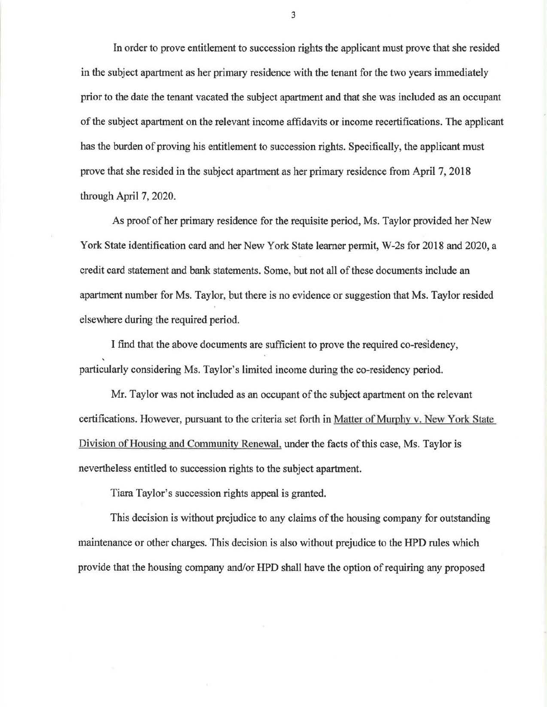In order to prove entitlement to succession rights the applicant must prove that she resided in the subject apartment as her primary residence with the tenant for the two years immediately prior to the date the tenant vacated the subject apartment and that she was included as an occupant of the subject apartment on the relevant income affidavits or income recertifications. The applicant has the burden of proving his entitlement to succession rights. Specifically, the applicant must prove that she resided in the subject apartment as her primary residence from April 7, 2018 through April 7, 2020.

As proof of her primary residence for the requisite period, Ms. Taylor provided her New York State identification card and her New York State learner pennit, W-2s for 2018 and 2020, a credit card statement and bank statements. Some, but not all of these documents include an apartment number for Ms. Taylor, but there is no evidence or suggestion that Ms. Taylor resided elsewhere during the required period.

I find that the above documents are sufficient to prove the required co-residency, particularly considering Ms. Taylor's limited income during the co-residency period.

Mr. Taylor was not included as an occupant of the subject apartment on the relevant certifications. However, pursuant to the criteria set forth in Matter of Murphy v. New York State Division of Housing and Community Renewal, under the facts of this case, Ms. Taylor is nevertheless entitled to succession rights to the subject apartment.

Tiara Taylor's succession rights appeal is granted.

This decision is without prejudice to any claims of the housing company for outstanding maintenance or other charges. This decision is also without prejudice to the HPD rules which provide that the housing company and/or HPD shall have the option of requiring any proposed

3